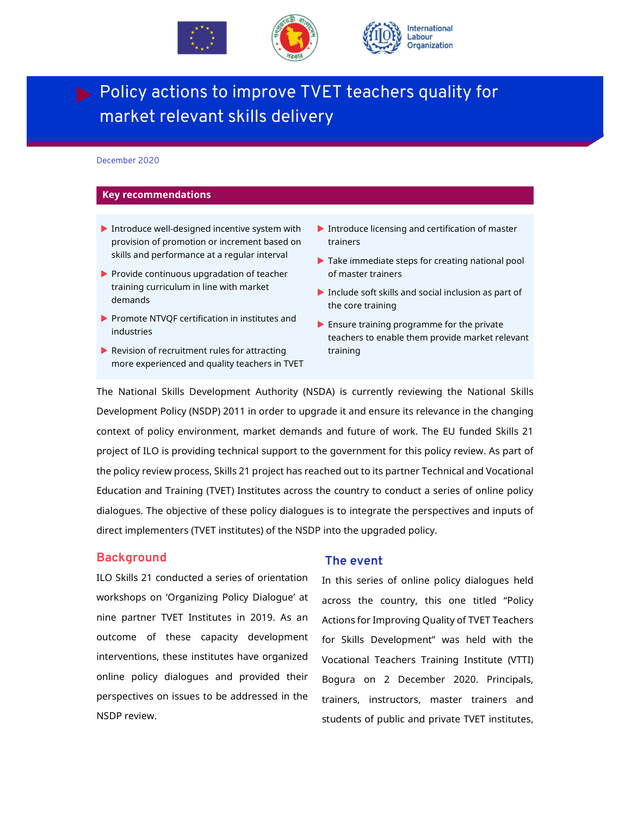



# **Policy actions to improve TVET teachers quality for** market relevant skills delivery

#### December 2020

#### **Key recommendations**

- Introduce well-designed incentive system with provision of promotion or increment based on skills and performance at a regular interval
- $\blacktriangleright$  Provide continuous upgradation of teacher training curriculum in line with market demands
- Promote NTVQF certification in institutes and industries
- $\blacktriangleright$  Revision of recruitment rules for attracting more experienced and quality teachers in TVET
- Introduce licensing and certification of master trainers
- Take immediate steps for creating national pool of master trainers
- $\blacktriangleright$  Include soft skills and social inclusion as part of the core training
- **Ensure training programme for the private** teachers to enable them provide market relevant training

The National Skills Development Authority (NSDA) is currently reviewing the National Skills Development Policy (NSDP) 2011 in order to upgrade it and ensure its relevance in the changing context of policy environment, market demands and future of work. The EU funded Skills 21 project of ILO is providing technical support to the government for this policy review. As part of the policy review process, Skills 21 project has reached out to its partner Technical and Vocational Education and Training (TVET) Institutes across the country to conduct a series of online policy dialogues. The objective of these policy dialogues is to integrate the perspectives and inputs of direct implementers (TVET institutes) of the NSDP into the upgraded policy.

#### **Background**

ILO Skills 21 conducted a series of orientation workshops on 'Organizing Policy Dialogue' at nine partner TVET Institutes in 2019. As an outcome of these capacity development interventions, these institutes have organized online policy dialogues and provided their perspectives on issues to be addressed in the NSDP review.

### **The event**

In this series of online policy dialogues held across the country, this one titled "Policy Actions for Improving Quality of TVET Teachers for Skills Development" was held with the Vocational Teachers Training Institute (VTTI) Bogura on 2 December 2020. Principals, trainers, instructors, master trainers and students of public and private TVET institutes,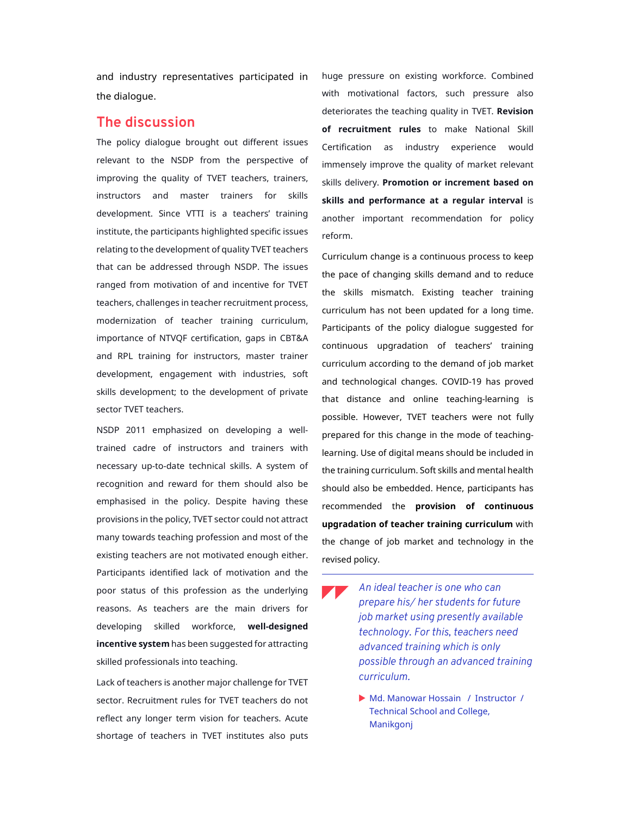and industry representatives participated in the dialogue.

## **The discussion**

The policy dialogue brought out different issues relevant to the NSDP from the perspective of improving the quality of TVET teachers, trainers, instructors and master trainers for skills development. Since VTTI is a teachers' training institute, the participants highlighted specific issues relating to the development of quality TVET teachers that can be addressed through NSDP. The issues ranged from motivation of and incentive for TVET teachers, challenges in teacher recruitment process, modernization of teacher training curriculum, importance of NTVQF certification, gaps in CBT&A and RPL training for instructors, master trainer development, engagement with industries, soft skills development; to the development of private sector TVET teachers.

NSDP 2011 emphasized on developing a welltrained cadre of instructors and trainers with necessary up-to-date technical skills. A system of recognition and reward for them should also be emphasised in the policy. Despite having these provisions in the policy, TVET sector could not attract many towards teaching profession and most of the existing teachers are not motivated enough either. Participants identified lack of motivation and the poor status of this profession as the underlying reasons. As teachers are the main drivers for developing skilled workforce, **well-designed incentive system** has been suggested for attracting skilled professionals into teaching.

Lack of teachers is another major challenge for TVET sector. Recruitment rules for TVET teachers do not reflect any longer term vision for teachers. Acute shortage of teachers in TVET institutes also puts

huge pressure on existing workforce. Combined with motivational factors, such pressure also deteriorates the teaching quality in TVET. **Revision of recruitment rules** to make National Skill Certification as industry experience would immensely improve the quality of market relevant skills delivery. **Promotion or increment based on skills and performance at a regular interval** is another important recommendation for policy reform.

Curriculum change is a continuous process to keep the pace of changing skills demand and to reduce the skills mismatch. Existing teacher training curriculum has not been updated for a long time. Participants of the policy dialogue suggested for continuous upgradation of teachers' training curriculum according to the demand of job market and technological changes. COVID-19 has proved that distance and online teaching-learning is possible. However, TVET teachers were not fully prepared for this change in the mode of teachinglearning. Use of digital means should be included in the training curriculum. Soft skills and mental health should also be embedded. Hence, participants has recommended the **provision of continuous upgradation of teacher training curriculum** with the change of job market and technology in the revised policy.

- *An ideal teacher is one who can prepare his/ her students for future job market using presently available technology*. *For this, teachers need advanced training which is only possible through an advanced training curriculum.* 
	- Md. Manowar Hossain / Instructor / Technical School and College, Manikgonj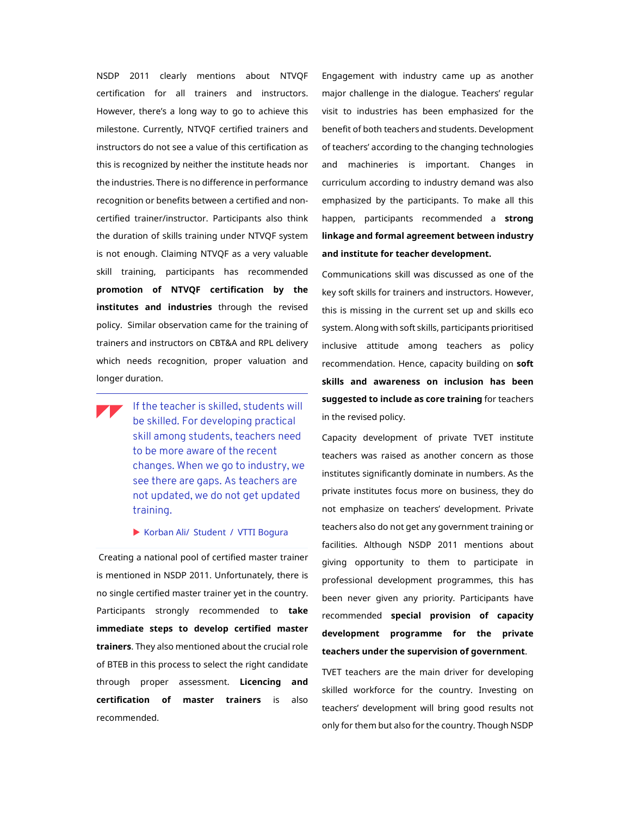NSDP 2011 clearly mentions about NTVQF certification for all trainers and instructors. However, there's a long way to go to achieve this milestone. Currently, NTVQF certified trainers and instructors do not see a value of this certification as this is recognized by neither the institute heads nor the industries. There is no difference in performance recognition or benefits between a certified and noncertified trainer/instructor. Participants also think the duration of skills training under NTVQF system is not enough. Claiming NTVQF as a very valuable skill training, participants has recommended **promotion of NTVQF certification by the institutes and industries** through the revised policy. Similar observation came for the training of trainers and instructors on CBT&A and RPL delivery which needs recognition, proper valuation and longer duration.

If the teacher is skilled, students will be skilled. For developing practical skill among students, teachers need to be more aware of the recent changes. When we go to industry, we see there are gaps. As teachers are not updated, we do not get updated training.

Korban Ali/ Student / VTTI Bogura

 Creating a national pool of certified master trainer is mentioned in NSDP 2011. Unfortunately, there is no single certified master trainer yet in the country. Participants strongly recommended to **take immediate steps to develop certified master trainers**. They also mentioned about the crucial role of BTEB in this process to select the right candidate through proper assessment. **Licencing and certification of master trainers** is also recommended.

Engagement with industry came up as another major challenge in the dialogue. Teachers' regular visit to industries has been emphasized for the benefit of both teachers and students. Development of teachers' according to the changing technologies and machineries is important. Changes in curriculum according to industry demand was also emphasized by the participants. To make all this happen, participants recommended a **strong linkage and formal agreement between industry and institute for teacher development.** 

Communications skill was discussed as one of the key soft skills for trainers and instructors. However, this is missing in the current set up and skills eco system. Along with soft skills, participants prioritised inclusive attitude among teachers as policy recommendation. Hence, capacity building on **soft skills and awareness on inclusion has been suggested to include as core training** for teachers in the revised policy.

Capacity development of private TVET institute teachers was raised as another concern as those institutes significantly dominate in numbers. As the private institutes focus more on business, they do not emphasize on teachers' development. Private teachers also do not get any government training or facilities. Although NSDP 2011 mentions about giving opportunity to them to participate in professional development programmes, this has been never given any priority. Participants have recommended **special provision of capacity development programme for the private teachers under the supervision of government**.

TVET teachers are the main driver for developing skilled workforce for the country. Investing on teachers' development will bring good results not only for them but also for the country. Though NSDP